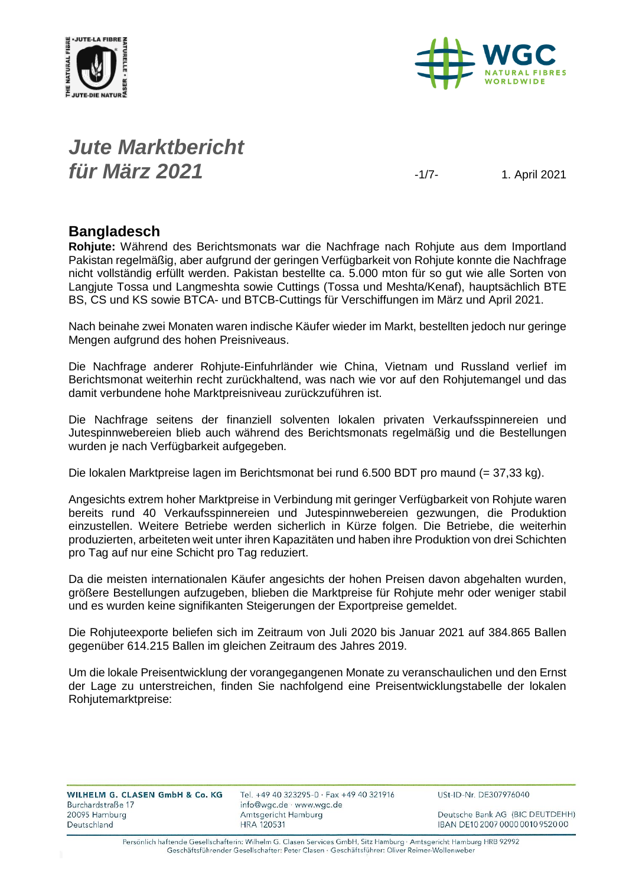



#### *Jute Marktbericht für März 2021* -1/7- 1. April <sup>2021</sup>

#### **Bangladesch**

**Rohjute:** Während des Berichtsmonats war die Nachfrage nach Rohjute aus dem Importland Pakistan regelmäßig, aber aufgrund der geringen Verfügbarkeit von Rohjute konnte die Nachfrage nicht vollständig erfüllt werden. Pakistan bestellte ca. 5.000 mton für so gut wie alle Sorten von Langjute Tossa und Langmeshta sowie Cuttings (Tossa und Meshta/Kenaf), hauptsächlich BTE BS, CS und KS sowie BTCA- und BTCB-Cuttings für Verschiffungen im März und April 2021.

Nach beinahe zwei Monaten waren indische Käufer wieder im Markt, bestellten jedoch nur geringe Mengen aufgrund des hohen Preisniveaus.

Die Nachfrage anderer Rohjute-Einfuhrländer wie China, Vietnam und Russland verlief im Berichtsmonat weiterhin recht zurückhaltend, was nach wie vor auf den Rohjutemangel und das damit verbundene hohe Marktpreisniveau zurückzuführen ist.

Die Nachfrage seitens der finanziell solventen lokalen privaten Verkaufsspinnereien und Jutespinnwebereien blieb auch während des Berichtsmonats regelmäßig und die Bestellungen wurden je nach Verfügbarkeit aufgegeben.

Die lokalen Marktpreise lagen im Berichtsmonat bei rund 6.500 BDT pro maund (= 37,33 kg).

Angesichts extrem hoher Marktpreise in Verbindung mit geringer Verfügbarkeit von Rohjute waren bereits rund 40 Verkaufsspinnereien und Jutespinnwebereien gezwungen, die Produktion einzustellen. Weitere Betriebe werden sicherlich in Kürze folgen. Die Betriebe, die weiterhin produzierten, arbeiteten weit unter ihren Kapazitäten und haben ihre Produktion von drei Schichten pro Tag auf nur eine Schicht pro Tag reduziert.

Da die meisten internationalen Käufer angesichts der hohen Preisen davon abgehalten wurden, größere Bestellungen aufzugeben, blieben die Marktpreise für Rohjute mehr oder weniger stabil und es wurden keine signifikanten Steigerungen der Exportpreise gemeldet.

Die Rohjuteexporte beliefen sich im Zeitraum von Juli 2020 bis Januar 2021 auf 384.865 Ballen gegenüber 614.215 Ballen im gleichen Zeitraum des Jahres 2019.

Um die lokale Preisentwicklung der vorangegangenen Monate zu veranschaulichen und den Ernst der Lage zu unterstreichen, finden Sie nachfolgend eine Preisentwicklungstabelle der lokalen Rohjutemarktpreise:

| WILHELM G. CLASEN GmbH & Co. KG |  |  |  |
|---------------------------------|--|--|--|
| Burchardstraße 17               |  |  |  |
| 20095 Hamburg                   |  |  |  |
| Deutschland                     |  |  |  |
|                                 |  |  |  |

Tel. +49 40 323295-0 · Fax +49 40 321916 info@wgc.de · www.wgc.de Amtsgericht Hamburg **HRA 120531** 

USt-ID-Nr. DE307976040

Deutsche Bank AG (BIC DEUTDEHH) IBAN DE10 2007 0000 0010 9520 00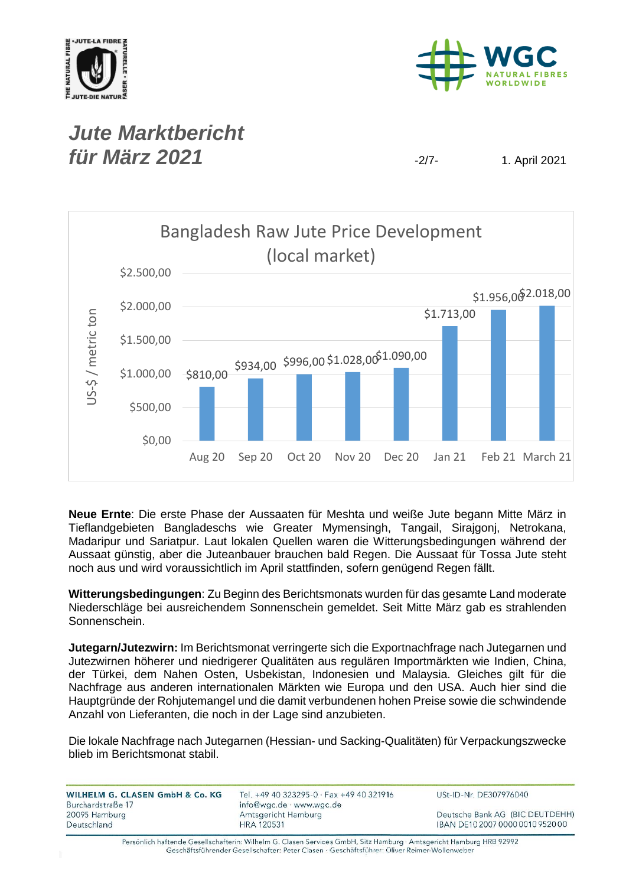



## *Jute Marktbericht für März* **2021** -2/7- 1. April 2021



**Neue Ernte**: Die erste Phase der Aussaaten für Meshta und weiße Jute begann Mitte März in Tieflandgebieten Bangladeschs wie Greater Mymensingh, Tangail, Sirajgonj, Netrokana, Madaripur und Sariatpur. Laut lokalen Quellen waren die Witterungsbedingungen während der Aussaat günstig, aber die Juteanbauer brauchen bald Regen. Die Aussaat für Tossa Jute steht noch aus und wird voraussichtlich im April stattfinden, sofern genügend Regen fällt.

**Witterungsbedingungen**: Zu Beginn des Berichtsmonats wurden für das gesamte Land moderate Niederschläge bei ausreichendem Sonnenschein gemeldet. Seit Mitte März gab es strahlenden Sonnenschein.

**Jutegarn/Jutezwirn:** Im Berichtsmonat verringerte sich die Exportnachfrage nach Jutegarnen und Jutezwirnen höherer und niedrigerer Qualitäten aus regulären Importmärkten wie Indien, China, der Türkei, dem Nahen Osten, Usbekistan, Indonesien und Malaysia. Gleiches gilt für die Nachfrage aus anderen internationalen Märkten wie Europa und den USA. Auch hier sind die Hauptgründe der Rohjutemangel und die damit verbundenen hohen Preise sowie die schwindende Anzahl von Lieferanten, die noch in der Lage sind anzubieten.

Die lokale Nachfrage nach Jutegarnen (Hessian- und Sacking-Qualitäten) für Verpackungszwecke blieb im Berichtsmonat stabil.

| WILHELM G. CLASEN GmbH & Co. KG<br>Burchardstraße 17 | Tel. +49 40 323295-0 · Fax +49 40 321916<br>info@wgc.de · www.wgc.de | USt-ID-Nr. DE307976040           |
|------------------------------------------------------|----------------------------------------------------------------------|----------------------------------|
| 20095 Hamburg                                        | Amtsgericht Hamburg                                                  | Deutsche Bank AG (BIC DEUTDEHH)  |
| Deutschland                                          | <b>HRA 120531</b>                                                    | IBAN DE10 2007 0000 0010 9520 00 |
|                                                      |                                                                      |                                  |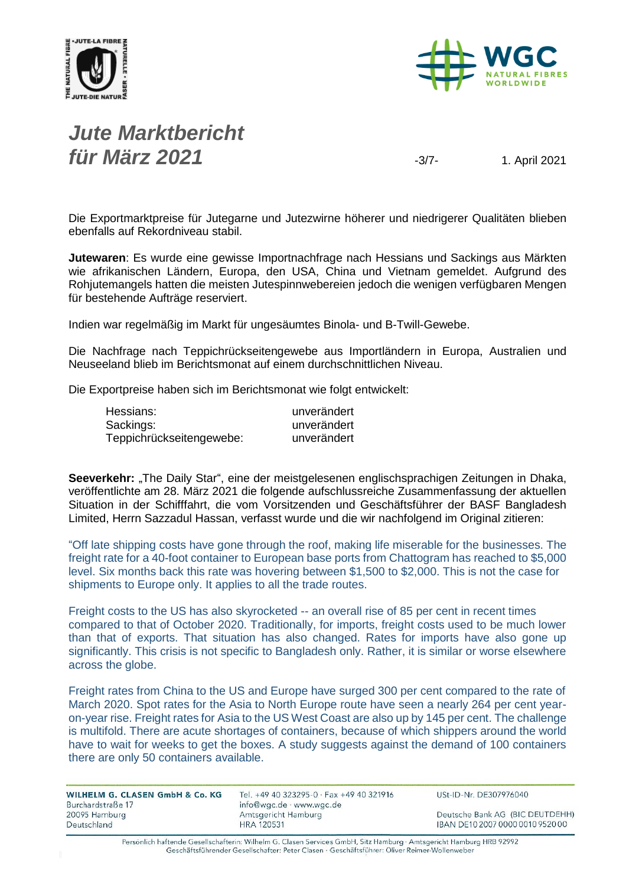



## *Jute Marktbericht für März* **2021** -3/7- 1. April 2021

Die Exportmarktpreise für Jutegarne und Jutezwirne höherer und niedrigerer Qualitäten blieben ebenfalls auf Rekordniveau stabil.

**Jutewaren**: Es wurde eine gewisse Importnachfrage nach Hessians und Sackings aus Märkten wie afrikanischen Ländern, Europa, den USA, China und Vietnam gemeldet. Aufgrund des Rohjutemangels hatten die meisten Jutespinnwebereien jedoch die wenigen verfügbaren Mengen für bestehende Aufträge reserviert.

Indien war regelmäßig im Markt für ungesäumtes Binola- und B-Twill-Gewebe.

Die Nachfrage nach Teppichrückseitengewebe aus Importländern in Europa, Australien und Neuseeland blieb im Berichtsmonat auf einem durchschnittlichen Niveau.

Die Exportpreise haben sich im Berichtsmonat wie folgt entwickelt:

| Hessians:                | unverändert |
|--------------------------|-------------|
| Sackings:                | unverändert |
| Teppichrückseitengewebe: | unverändert |

Seeverkehr: "The Daily Star", eine der meistgelesenen englischsprachigen Zeitungen in Dhaka, veröffentlichte am 28. März 2021 die folgende aufschlussreiche Zusammenfassung der aktuellen Situation in der Schifffahrt, die vom Vorsitzenden und Geschäftsführer der BASF Bangladesh Limited, Herrn Sazzadul Hassan, verfasst wurde und die wir nachfolgend im Original zitieren:

"Off late shipping costs have gone through the roof, making life miserable for the businesses. The freight rate for a 40-foot container to European base ports from Chattogram has reached to \$5,000 level. Six months back this rate was hovering between \$1,500 to \$2,000. This is not the case for shipments to Europe only. It applies to all the trade routes.

Freight costs to the US has also skyrocketed -- an overall rise of 85 per cent in recent times compared to that of October 2020. Traditionally, for imports, freight costs used to be much lower than that of exports. That situation has also changed. Rates for imports have also gone up significantly. This crisis is not specific to Bangladesh only. Rather, it is similar or worse elsewhere across the globe.

Freight rates from China to the US and Europe have surged 300 per cent compared to the rate of March 2020. Spot rates for the Asia to North Europe route have seen a nearly 264 per cent yearon-year rise. Freight rates for Asia to the US West Coast are also up by 145 per cent. The challenge is multifold. There are acute shortages of containers, because of which shippers around the world have to wait for weeks to get the boxes. A study suggests against the demand of 100 containers there are only 50 containers available.

| WILHELM G. CLASEN GmbH & Co. KG<br>Burchardstraße 17 | Tel. +49 40 323295-0 · Fax +49 40 321916<br>info@wgc.de · www.wgc.de | USt-ID-Nr. DE307976040           |
|------------------------------------------------------|----------------------------------------------------------------------|----------------------------------|
| 20095 Hamburg                                        | Amtsgericht Hamburg                                                  | Deutsche Bank AG (BIC DEUTDEHH)  |
| Deutschland                                          | <b>HRA 120531</b>                                                    | IBAN DE10 2007 0000 0010 9520 00 |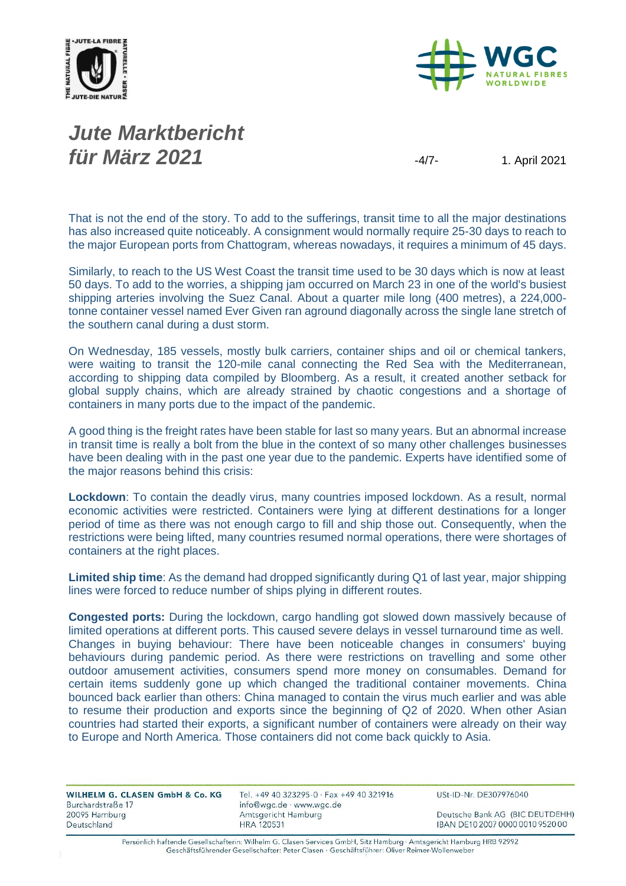



# *Jute Marktbericht für März* **2021** -4/7- 1. April 2021

That is not the end of the story. To add to the sufferings, transit time to all the major destinations has also increased quite noticeably. A consignment would normally require 25-30 days to reach to the major European ports from Chattogram, whereas nowadays, it requires a minimum of 45 days.

Similarly, to reach to the US West Coast the transit time used to be 30 days which is now at least 50 days. To add to the worries, a shipping jam occurred on March 23 in one of the world's busiest shipping arteries involving the Suez Canal. About a quarter mile long (400 metres), a 224,000 tonne container vessel named Ever Given ran aground diagonally across the single lane stretch of the southern canal during a dust storm.

On Wednesday, 185 vessels, mostly bulk carriers, container ships and oil or chemical tankers, were waiting to transit the 120-mile canal connecting the Red Sea with the Mediterranean, according to shipping data compiled by Bloomberg. As a result, it created another setback for global supply chains, which are already strained by chaotic congestions and a shortage of containers in many ports due to the impact of the pandemic.

A good thing is the freight rates have been stable for last so many years. But an abnormal increase in transit time is really a bolt from the blue in the context of so many other challenges businesses have been dealing with in the past one year due to the pandemic. Experts have identified some of the major reasons behind this crisis:

**Lockdown**: To contain the deadly virus, many countries imposed lockdown. As a result, normal economic activities were restricted. Containers were lying at different destinations for a longer period of time as there was not enough cargo to fill and ship those out. Consequently, when the restrictions were being lifted, many countries resumed normal operations, there were shortages of containers at the right places.

**Limited ship time**: As the demand had dropped significantly during Q1 of last year, major shipping lines were forced to reduce number of ships plying in different routes.

**Congested ports:** During the lockdown, cargo handling got slowed down massively because of limited operations at different ports. This caused severe delays in vessel turnaround time as well. Changes in buying behaviour: There have been noticeable changes in consumers' buying behaviours during pandemic period. As there were restrictions on travelling and some other outdoor amusement activities, consumers spend more money on consumables. Demand for certain items suddenly gone up which changed the traditional container movements. China bounced back earlier than others: China managed to contain the virus much earlier and was able to resume their production and exports since the beginning of Q2 of 2020. When other Asian countries had started their exports, a significant number of containers were already on their way to Europe and North America. Those containers did not come back quickly to Asia.

| Tel. +49 40 323295-0 · Fax +49 40 321916<br>info@wgc.de · www.wgc.de | USt-ID-Nr. DE307976040           |
|----------------------------------------------------------------------|----------------------------------|
| Amtsgericht Hamburg                                                  | Deutsche Bank AG (BIC DEUTDEHH)  |
| HRA 120531                                                           | IBAN DE10 2007 0000 0010 9520 00 |
|                                                                      |                                  |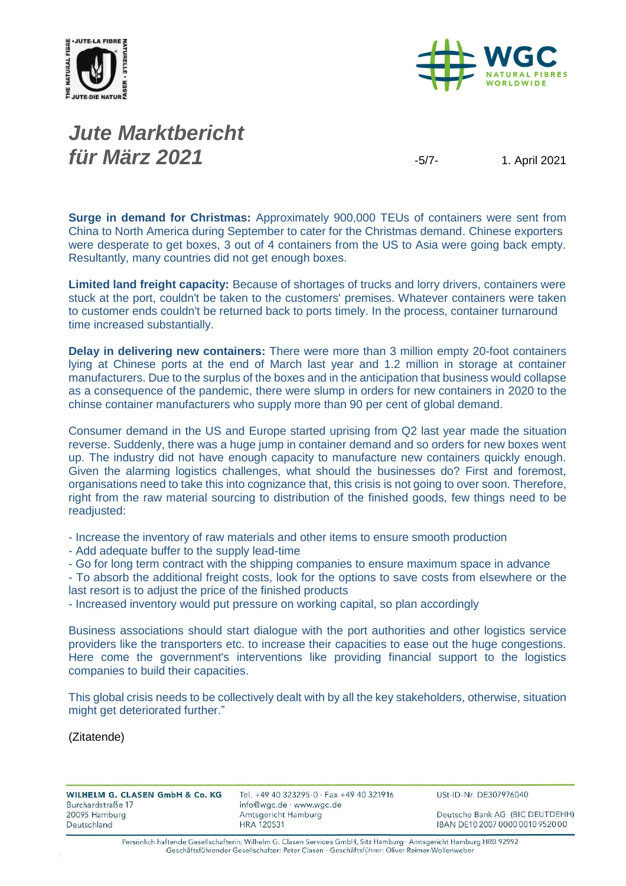



## *Jute Marktbericht für März* **2021** -5/7- 1. April 2021

**Surge in demand for Christmas:** Approximately 900,000 TEUs of containers were sent from China to North America during September to cater for the Christmas demand. Chinese exporters were desperate to get boxes, 3 out of 4 containers from the US to Asia were going back empty. Resultantly, many countries did not get enough boxes.

**Limited land freight capacity:** Because of shortages of trucks and lorry drivers, containers were stuck at the port, couldn't be taken to the customers' premises. Whatever containers were taken to customer ends couldn't be returned back to ports timely. In the process, container turnaround time increased substantially.

**Delay in delivering new containers:** There were more than 3 million empty 20-foot containers lying at Chinese ports at the end of March last year and 1.2 million in storage at container manufacturers. Due to the surplus of the boxes and in the anticipation that business would collapse as a consequence of the pandemic, there were slump in orders for new containers in 2020 to the chinse container manufacturers who supply more than 90 per cent of global demand.

Consumer demand in the US and Europe started uprising from Q2 last year made the situation reverse. Suddenly, there was a huge jump in container demand and so orders for new boxes went up. The industry did not have enough capacity to manufacture new containers quickly enough. Given the alarming logistics challenges, what should the businesses do? First and foremost, organisations need to take this into cognizance that, this crisis is not going to over soon. Therefore, right from the raw material sourcing to distribution of the finished goods, few things need to be readjusted:

- Increase the inventory of raw materials and other items to ensure smooth production

- Add adequate buffer to the supply lead-time
- Go for long term contract with the shipping companies to ensure maximum space in advance

- To absorb the additional freight costs, look for the options to save costs from elsewhere or the last resort is to adjust the price of the finished products

- Increased inventory would put pressure on working capital, so plan accordingly

Business associations should start dialogue with the port authorities and other logistics service providers like the transporters etc. to increase their capacities to ease out the huge congestions. Here come the government's interventions like providing financial support to the logistics companies to build their capacities.

This global crisis needs to be collectively dealt with by all the key stakeholders, otherwise, situation might get deteriorated further."

(Zitatende)

| Tel. +49 40 323295-0 · Fax +49 40 321916<br>info@wgc.de · www.wgc.de | USt-ID-Nr. DE307976040           |
|----------------------------------------------------------------------|----------------------------------|
| Amtsgericht Hamburg                                                  | Deutsche Bank AG (BIC DEUTDEHH)  |
| <b>HRA 120531</b>                                                    | IBAN DE10 2007 0000 0010 9520 00 |
|                                                                      |                                  |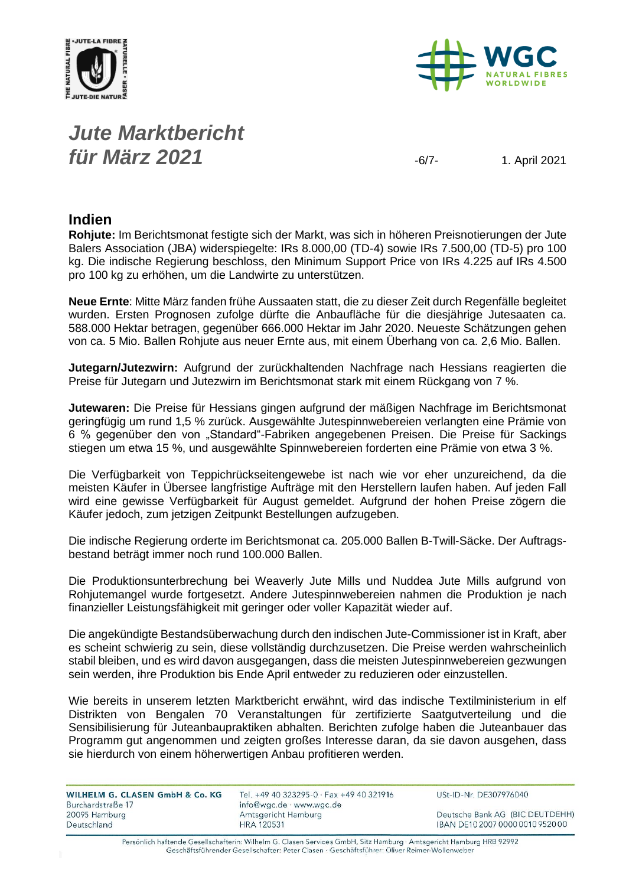



## *Jute Marktbericht für März* **2021** -6/7- 1. April 2021

#### **Indien**

**Rohjute:** Im Berichtsmonat festigte sich der Markt, was sich in höheren Preisnotierungen der Jute Balers Association (JBA) widerspiegelte: IRs 8.000,00 (TD-4) sowie IRs 7.500,00 (TD-5) pro 100 kg. Die indische Regierung beschloss, den Minimum Support Price von IRs 4.225 auf IRs 4.500 pro 100 kg zu erhöhen, um die Landwirte zu unterstützen.

**Neue Ernte**: Mitte März fanden frühe Aussaaten statt, die zu dieser Zeit durch Regenfälle begleitet wurden. Ersten Prognosen zufolge dürfte die Anbaufläche für die diesjährige Jutesaaten ca. 588.000 Hektar betragen, gegenüber 666.000 Hektar im Jahr 2020. Neueste Schätzungen gehen von ca. 5 Mio. Ballen Rohjute aus neuer Ernte aus, mit einem Überhang von ca. 2,6 Mio. Ballen.

**Jutegarn/Jutezwirn:** Aufgrund der zurückhaltenden Nachfrage nach Hessians reagierten die Preise für Jutegarn und Jutezwirn im Berichtsmonat stark mit einem Rückgang von 7 %.

**Jutewaren:** Die Preise für Hessians gingen aufgrund der mäßigen Nachfrage im Berichtsmonat geringfügig um rund 1,5 % zurück. Ausgewählte Jutespinnwebereien verlangten eine Prämie von 6 % gegenüber den von "Standard"-Fabriken angegebenen Preisen. Die Preise für Sackings stiegen um etwa 15 %, und ausgewählte Spinnwebereien forderten eine Prämie von etwa 3 %.

Die Verfügbarkeit von Teppichrückseitengewebe ist nach wie vor eher unzureichend, da die meisten Käufer in Übersee langfristige Aufträge mit den Herstellern laufen haben. Auf jeden Fall wird eine gewisse Verfügbarkeit für August gemeldet. Aufgrund der hohen Preise zögern die Käufer jedoch, zum jetzigen Zeitpunkt Bestellungen aufzugeben.

Die indische Regierung orderte im Berichtsmonat ca. 205.000 Ballen B-Twill-Säcke. Der Auftragsbestand beträgt immer noch rund 100.000 Ballen.

Die Produktionsunterbrechung bei Weaverly Jute Mills und Nuddea Jute Mills aufgrund von Rohjutemangel wurde fortgesetzt. Andere Jutespinnwebereien nahmen die Produktion je nach finanzieller Leistungsfähigkeit mit geringer oder voller Kapazität wieder auf.

Die angekündigte Bestandsüberwachung durch den indischen Jute-Commissioner ist in Kraft, aber es scheint schwierig zu sein, diese vollständig durchzusetzen. Die Preise werden wahrscheinlich stabil bleiben, und es wird davon ausgegangen, dass die meisten Jutespinnwebereien gezwungen sein werden, ihre Produktion bis Ende April entweder zu reduzieren oder einzustellen.

Wie bereits in unserem letzten Marktbericht erwähnt, wird das indische Textilministerium in elf Distrikten von Bengalen 70 Veranstaltungen für zertifizierte Saatgutverteilung und die Sensibilisierung für Juteanbaupraktiken abhalten. Berichten zufolge haben die Juteanbauer das Programm gut angenommen und zeigten großes Interesse daran, da sie davon ausgehen, dass sie hierdurch von einem höherwertigen Anbau profitieren werden.

| Tel. +49 40 323295-0 · Fax +49 40 321916 | USt-ID-Nr. DE307976040           |
|------------------------------------------|----------------------------------|
| Amtsgericht Hamburg                      | Deutsche Bank AG (BIC DEUTDEHH)  |
| HRA 120531                               | IBAN DE10 2007 0000 0010 9520 00 |
|                                          | info@wgc.de · www.wgc.de         |